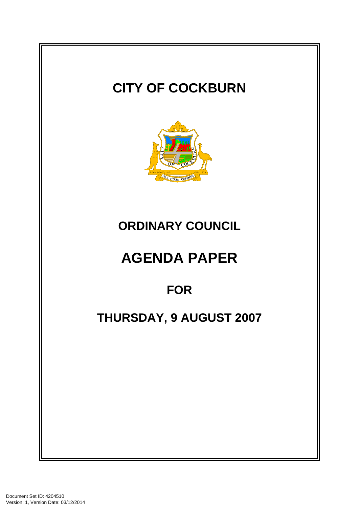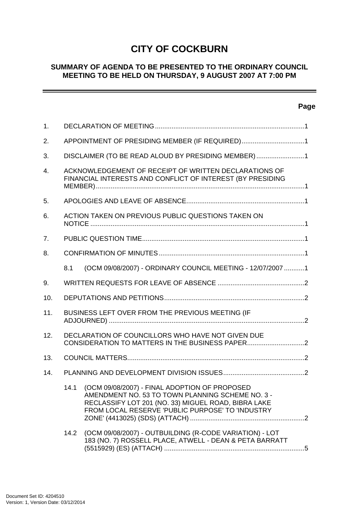# **CITY OF COCKBURN**

#### **SUMMARY OF AGENDA TO BE PRESENTED TO THE ORDINARY COUNCIL MEETING TO BE HELD ON THURSDAY, 9 AUGUST 2007 AT 7:00 PM**

## **Page**

\_\_\_\_\_\_

| 1.               |                                                   |                                                                                                                                                                                                              |  |  |
|------------------|---------------------------------------------------|--------------------------------------------------------------------------------------------------------------------------------------------------------------------------------------------------------------|--|--|
| 2.               | APPOINTMENT OF PRESIDING MEMBER (IF REQUIRED)1    |                                                                                                                                                                                                              |  |  |
| 3.               |                                                   | DISCLAIMER (TO BE READ ALOUD BY PRESIDING MEMBER) 1                                                                                                                                                          |  |  |
| $\overline{4}$ . |                                                   | ACKNOWLEDGEMENT OF RECEIPT OF WRITTEN DECLARATIONS OF<br>FINANCIAL INTERESTS AND CONFLICT OF INTEREST (BY PRESIDING                                                                                          |  |  |
| 5.               |                                                   |                                                                                                                                                                                                              |  |  |
| 6.               |                                                   | ACTION TAKEN ON PREVIOUS PUBLIC QUESTIONS TAKEN ON                                                                                                                                                           |  |  |
| 7.               |                                                   |                                                                                                                                                                                                              |  |  |
| 8.               |                                                   |                                                                                                                                                                                                              |  |  |
|                  | 8.1                                               | (OCM 09/08/2007) - ORDINARY COUNCIL MEETING - 12/07/2007  1                                                                                                                                                  |  |  |
| 9.               |                                                   |                                                                                                                                                                                                              |  |  |
| 10.              |                                                   |                                                                                                                                                                                                              |  |  |
| 11.              | BUSINESS LEFT OVER FROM THE PREVIOUS MEETING (IF  |                                                                                                                                                                                                              |  |  |
| 12.              | DECLARATION OF COUNCILLORS WHO HAVE NOT GIVEN DUE |                                                                                                                                                                                                              |  |  |
| 13.              |                                                   |                                                                                                                                                                                                              |  |  |
| 14.              |                                                   |                                                                                                                                                                                                              |  |  |
|                  | 14.1                                              | (OCM 09/08/2007) - FINAL ADOPTION OF PROPOSED<br>AMENDMENT NO. 53 TO TOWN PLANNING SCHEME NO. 3 -<br>RECLASSIFY LOT 201 (NO. 33) MIGUEL ROAD, BIBRA LAKE<br>FROM LOCAL RESERVE 'PUBLIC PURPOSE' TO 'INDUSTRY |  |  |
|                  | 14.2                                              | (OCM 09/08/2007) - OUTBUILDING (R-CODE VARIATION) - LOT<br>183 (NO. 7) ROSSELL PLACE, ATWELL - DEAN & PETA BARRATT                                                                                           |  |  |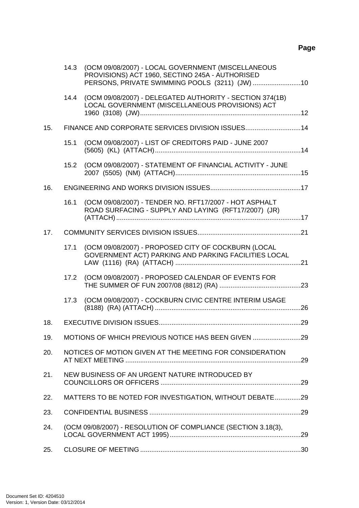## **Page**

|     | 14.3                                                     | (OCM 09/08/2007) - LOCAL GOVERNMENT (MISCELLANEOUS<br>PROVISIONS) ACT 1960, SECTINO 245A - AUTHORISED<br>PERSONS, PRIVATE SWIMMING POOLS (3211) (JW) 10 |  |
|-----|----------------------------------------------------------|---------------------------------------------------------------------------------------------------------------------------------------------------------|--|
|     | 14.4                                                     | (OCM 09/08/2007) - DELEGATED AUTHORITY - SECTION 374(1B)<br>LOCAL GOVERNMENT (MISCELLANEOUS PROVISIONS) ACT                                             |  |
| 15. |                                                          | FINANCE AND CORPORATE SERVICES DIVISION ISSUES14                                                                                                        |  |
|     | 15.1                                                     | (OCM 09/08/2007) - LIST OF CREDITORS PAID - JUNE 2007                                                                                                   |  |
|     |                                                          | 15.2 (OCM 09/08/2007) - STATEMENT OF FINANCIAL ACTIVITY - JUNE                                                                                          |  |
| 16. |                                                          |                                                                                                                                                         |  |
|     | 16.1                                                     | (OCM 09/08/2007) - TENDER NO. RFT17/2007 - HOT ASPHALT<br>ROAD SURFACING - SUPPLY AND LAYING (RFT17/2007) (JR)                                          |  |
| 17. |                                                          |                                                                                                                                                         |  |
|     | 17.1                                                     | (OCM 09/08/2007) - PROPOSED CITY OF COCKBURN (LOCAL<br>GOVERNMENT ACT) PARKING AND PARKING FACILITIES LOCAL                                             |  |
|     | 17.2                                                     | (OCM 09/08/2007) - PROPOSED CALENDAR OF EVENTS FOR                                                                                                      |  |
|     | 17.3                                                     | (OCM 09/08/2007) - COCKBURN CIVIC CENTRE INTERIM USAGE                                                                                                  |  |
| 18. |                                                          |                                                                                                                                                         |  |
| 19. |                                                          | MOTIONS OF WHICH PREVIOUS NOTICE HAS BEEN GIVEN 29                                                                                                      |  |
| 20. | NOTICES OF MOTION GIVEN AT THE MEETING FOR CONSIDERATION |                                                                                                                                                         |  |
| 21. | NEW BUSINESS OF AN URGENT NATURE INTRODUCED BY           |                                                                                                                                                         |  |
| 22. |                                                          | MATTERS TO BE NOTED FOR INVESTIGATION, WITHOUT DEBATE29                                                                                                 |  |
| 23. |                                                          |                                                                                                                                                         |  |
| 24. |                                                          | (OCM 09/08/2007) - RESOLUTION OF COMPLIANCE (SECTION 3.18(3),                                                                                           |  |
| 25. |                                                          |                                                                                                                                                         |  |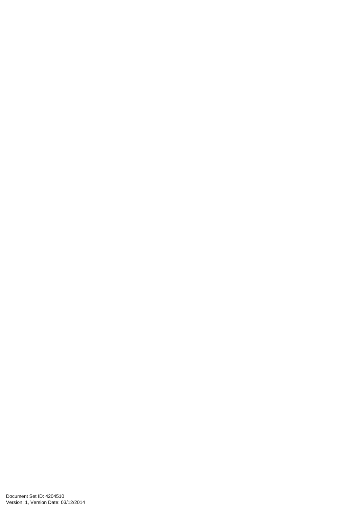Document Set ID: 4204510<br>Version: 1, Version Date: 03/12/2014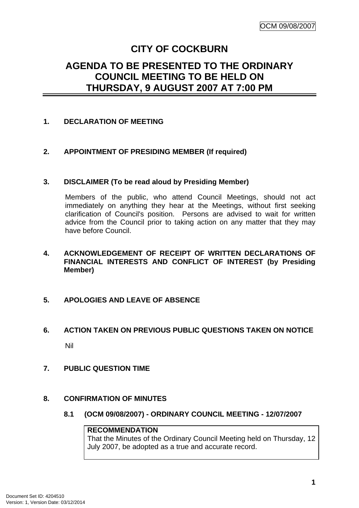# **CITY OF COCKBURN**

# <span id="page-4-0"></span>**AGENDA TO BE PRESENTED TO THE ORDINARY COUNCIL MEETING TO BE HELD ON THURSDAY, 9 AUGUST 2007 AT 7:00 PM**

## **1. DECLARATION OF MEETING**

## **2. APPOINTMENT OF PRESIDING MEMBER (If required)**

## **3. DISCLAIMER (To be read aloud by Presiding Member)**

Members of the public, who attend Council Meetings, should not act immediately on anything they hear at the Meetings, without first seeking clarification of Council's position. Persons are advised to wait for written advice from the Council prior to taking action on any matter that they may have before Council.

## **4. ACKNOWLEDGEMENT OF RECEIPT OF WRITTEN DECLARATIONS OF FINANCIAL INTERESTS AND CONFLICT OF INTEREST (by Presiding Member)**

## **5. APOLOGIES AND LEAVE OF ABSENCE**

# **6. ACTION TAKEN ON PREVIOUS PUBLIC QUESTIONS TAKEN ON NOTICE**  Nil

## **7. PUBLIC QUESTION TIME**

## **8. CONFIRMATION OF MINUTES**

## **8.1 (OCM 09/08/2007) - ORDINARY COUNCIL MEETING - 12/07/2007**

#### **RECOMMENDATION**

That the Minutes of the Ordinary Council Meeting held on Thursday, 12 July 2007, be adopted as a true and accurate record.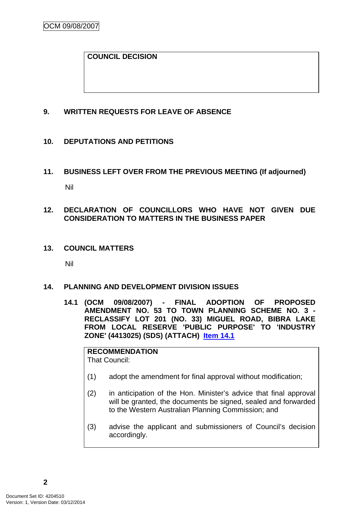## <span id="page-5-0"></span>**COUNCIL DECISION**

#### **9. WRITTEN REQUESTS FOR LEAVE OF ABSENCE**

## **10. DEPUTATIONS AND PETITIONS**

**11. BUSINESS LEFT OVER FROM THE PREVIOUS MEETING (If adjourned)**  Nil

#### **12. DECLARATION OF COUNCILLORS WHO HAVE NOT GIVEN DUE CONSIDERATION TO MATTERS IN THE BUSINESS PAPER**

**13. COUNCIL MATTERS** 

Nil

#### **14. PLANNING AND DEVELOPMENT DIVISION ISSUES**

**14.1 (OCM 09/08/2007) - FINAL ADOPTION OF PROPOSED AMENDMENT NO. 53 TO TOWN PLANNING SCHEME NO. 3 - RECLASSIFY LOT 201 (NO. 33) MIGUEL ROAD, BIBRA LAKE FROM LOCAL RESERVE 'PUBLIC PURPOSE' TO 'INDUSTRY ZONE' (4413025) (SDS) (ATTACH) Item 14.1**

**RECOMMENDATION** That Council:

- (1) adopt the amendment for final approval without modification;
- (2) in anticipation of the Hon. Minister's advice that final approval will be granted, the documents be signed, sealed and forwarded to the Western Australian Planning Commission; and
- (3) advise the applicant and submissioners of Council's decision accordingly.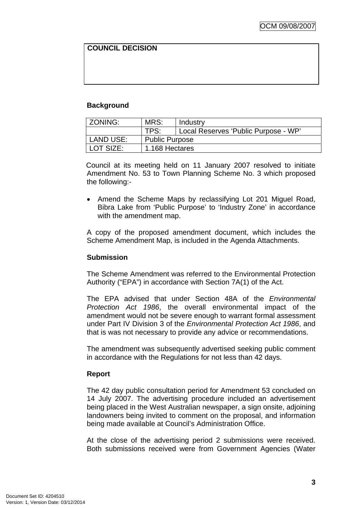## **COUNCIL DECISION**

## **Background**

| ZONING:   | MRS:                  | Industry                             |  |
|-----------|-----------------------|--------------------------------------|--|
|           | TPS.                  | Local Reserves 'Public Purpose - WP' |  |
| LAND USE: | <b>Public Purpose</b> |                                      |  |
| LOT SIZE: | 1.168 Hectares        |                                      |  |

Council at its meeting held on 11 January 2007 resolved to initiate Amendment No. 53 to Town Planning Scheme No. 3 which proposed the following:-

• Amend the Scheme Maps by reclassifying Lot 201 Miguel Road, Bibra Lake from 'Public Purpose' to 'Industry Zone' in accordance with the amendment map.

A copy of the proposed amendment document, which includes the Scheme Amendment Map, is included in the Agenda Attachments.

#### **Submission**

The Scheme Amendment was referred to the Environmental Protection Authority ("EPA") in accordance with Section 7A(1) of the Act.

The EPA advised that under Section 48A of the *Environmental Protection Act 1986*, the overall environmental impact of the amendment would not be severe enough to warrant formal assessment under Part IV Division 3 of the *Environmental Protection Act 1986*, and that is was not necessary to provide any advice or recommendations.

The amendment was subsequently advertised seeking public comment in accordance with the Regulations for not less than 42 days.

#### **Report**

The 42 day public consultation period for Amendment 53 concluded on 14 July 2007. The advertising procedure included an advertisement being placed in the West Australian newspaper, a sign onsite, adjoining landowners being invited to comment on the proposal, and information being made available at Council's Administration Office.

At the close of the advertising period 2 submissions were received. Both submissions received were from Government Agencies (Water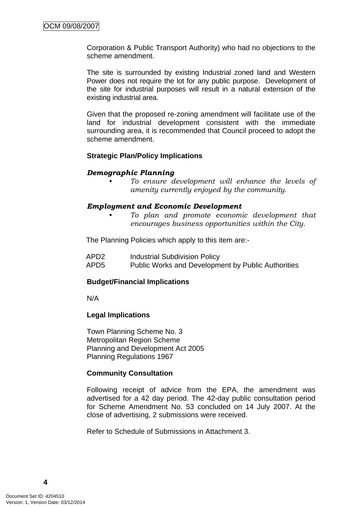Corporation & Public Transport Authority) who had no objections to the scheme amendment.

The site is surrounded by existing Industrial zoned land and Western Power does not require the lot for any public purpose. Development of the site for industrial purposes will result in a natural extension of the existing industrial area.

Given that the proposed re-zoning amendment will facilitate use of the land for industrial development consistent with the immediate surrounding area, it is recommended that Council proceed to adopt the scheme amendment.

#### **Strategic Plan/Policy Implications**

#### *Demographic Planning*

*• To ensure development will enhance the levels of amenity currently enjoyed by the community.*

#### *Employment and Economic Development*

*• To plan and promote economic development that encourages business opportunities within the City.* 

The Planning Policies which apply to this item are:-

APD2 Industrial Subdivision Policy

APD5 Public Works and Development by Public Authorities

#### **Budget/Financial Implications**

N/A

#### **Legal Implications**

Town Planning Scheme No. 3 Metropolitan Region Scheme Planning and Development Act 2005 Planning Regulations 1967

#### **Community Consultation**

Following receipt of advice from the EPA, the amendment was advertised for a 42 day period. The 42-day public consultation period for Scheme Amendment No. 53 concluded on 14 July 2007. At the close of advertising, 2 submissions were received.

Refer to Schedule of Submissions in Attachment 3.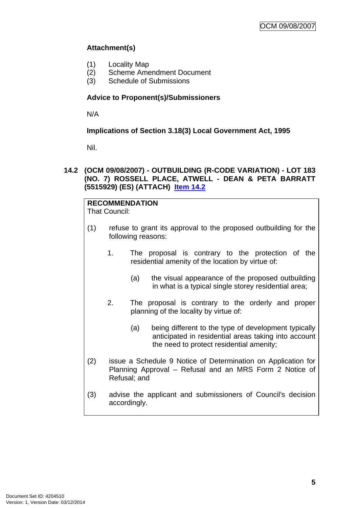## <span id="page-8-0"></span>**Attachment(s)**

- (1) Locality Map
- (2) Scheme Amendment Document
- (3) Schedule of Submissions

## **Advice to Proponent(s)/Submissioners**

N/A

## **Implications of Section 3.18(3) Local Government Act, 1995**

Nil.

#### **14.2 (OCM 09/08/2007) - OUTBUILDING (R-CODE VARIATION) - LOT 183 (NO. 7) ROSSELL PLACE, ATWELL - DEAN & PETA BARRATT (5515929) (ES) (ATTACH) Item 14.2**

**RECOMMENDATION** That Council:

- (1) refuse to grant its approval to the proposed outbuilding for the following reasons:
	- 1. The proposal is contrary to the protection of the residential amenity of the location by virtue of:
		- (a) the visual appearance of the proposed outbuilding in what is a typical single storey residential area;
	- 2. The proposal is contrary to the orderly and proper planning of the locality by virtue of:
		- (a) being different to the type of development typically anticipated in residential areas taking into account the need to protect residential amenity;
- (2) issue a Schedule 9 Notice of Determination on Application for Planning Approval – Refusal and an MRS Form 2 Notice of Refusal; and
- (3) advise the applicant and submissioners of Council's decision accordingly.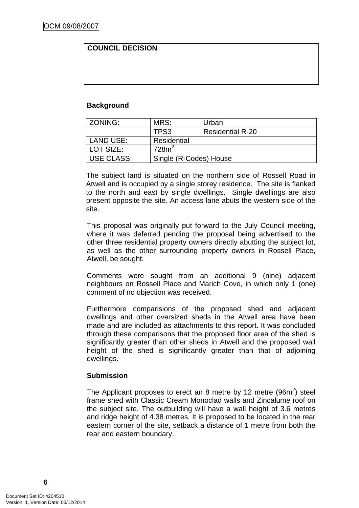#### **COUNCIL DECISION**

#### **Background**

| <b>ZONING:</b>    | MRS:                   | Urban                   |  |
|-------------------|------------------------|-------------------------|--|
|                   | TPS3                   | <b>Residential R-20</b> |  |
| <b>LAND USE:</b>  | Residential            |                         |  |
| LOT SIZE:         | 728m <sup>2</sup>      |                         |  |
| <b>USE CLASS:</b> | Single (R-Codes) House |                         |  |

The subject land is situated on the northern side of Rossell Road in Atwell and is occupied by a single storey residence. The site is flanked to the north and east by single dwellings. Single dwellings are also present opposite the site. An access lane abuts the western side of the site.

This proposal was originally put forward to the July Council meeting, where it was deferred pending the proposal being advertised to the other three residential property owners directly abutting the subject lot, as well as the other surrounding property owners in Rossell Place, Atwell, be sought.

Comments were sought from an additional 9 (nine) adjacent neighbours on Rossell Place and Marich Cove, in which only 1 (one) comment of no objection was received.

Furthermore comparisions of the proposed shed and adjacent dwellings and other oversized sheds in the Atwell area have been made and are included as attachments to this report. It was concluded through these comparisons that the proposed floor area of the shed is significantly greater than other sheds in Atwell and the proposed wall height of the shed is significantly greater than that of adjoining dwellings.

#### **Submission**

The Applicant proposes to erect an 8 metre by 12 metre (96 $m<sup>2</sup>$ ) steel frame shed with Classic Cream Monoclad walls and Zincalume roof on the subject site. The outbuilding will have a wall height of 3.6 metres and ridge height of 4.38 metres. It is proposed to be located in the rear eastern corner of the site, setback a distance of 1 metre from both the rear and eastern boundary.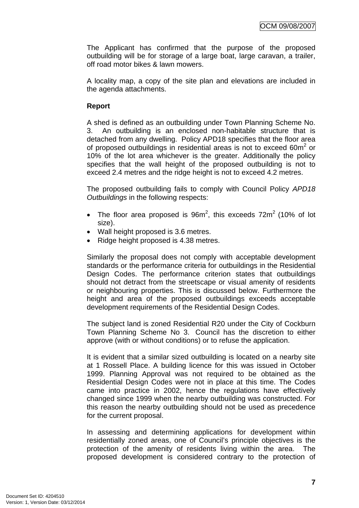The Applicant has confirmed that the purpose of the proposed outbuilding will be for storage of a large boat, large caravan, a trailer, off road motor bikes & lawn mowers.

A locality map, a copy of the site plan and elevations are included in the agenda attachments.

## **Report**

A shed is defined as an outbuilding under Town Planning Scheme No. 3. An outbuilding is an enclosed non-habitable structure that is detached from any dwelling. Policy APD18 specifies that the floor area of proposed outbuildings in residential areas is not to exceed 60m<sup>2</sup> or 10% of the lot area whichever is the greater. Additionally the policy specifies that the wall height of the proposed outbuilding is not to exceed 2.4 metres and the ridge height is not to exceed 4.2 metres.

The proposed outbuilding fails to comply with Council Policy *APD18 Outbuildings* in the following respects:

- The floor area proposed is  $96m^2$ , this exceeds  $72m^2$  (10% of lot size).
- Wall height proposed is 3.6 metres.
- Ridge height proposed is 4.38 metres.

Similarly the proposal does not comply with acceptable development standards or the performance criteria for outbuildings in the Residential Design Codes. The performance criterion states that outbuildings should not detract from the streetscape or visual amenity of residents or neighbouring properties. This is discussed below. Furthermore the height and area of the proposed outbuildings exceeds acceptable development requirements of the Residential Design Codes.

The subject land is zoned Residential R20 under the City of Cockburn Town Planning Scheme No 3. Council has the discretion to either approve (with or without conditions) or to refuse the application.

It is evident that a similar sized outbuilding is located on a nearby site at 1 Rossell Place. A building licence for this was issued in October 1999. Planning Approval was not required to be obtained as the Residential Design Codes were not in place at this time. The Codes came into practice in 2002, hence the regulations have effectively changed since 1999 when the nearby outbuilding was constructed. For this reason the nearby outbuilding should not be used as precedence for the current proposal.

In assessing and determining applications for development within residentially zoned areas, one of Council's principle objectives is the protection of the amenity of residents living within the area. The proposed development is considered contrary to the protection of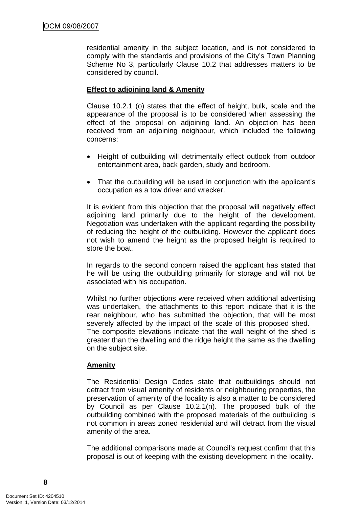residential amenity in the subject location, and is not considered to comply with the standards and provisions of the City's Town Planning Scheme No 3, particularly Clause 10.2 that addresses matters to be considered by council.

## **Effect to adjoining land & Amenity**

Clause 10.2.1 (o) states that the effect of height, bulk, scale and the appearance of the proposal is to be considered when assessing the effect of the proposal on adjoining land. An objection has been received from an adjoining neighbour, which included the following concerns:

- Height of outbuilding will detrimentally effect outlook from outdoor entertainment area, back garden, study and bedroom.
- That the outbuilding will be used in conjunction with the applicant's occupation as a tow driver and wrecker.

It is evident from this objection that the proposal will negatively effect adjoining land primarily due to the height of the development. Negotiation was undertaken with the applicant regarding the possibility of reducing the height of the outbuilding. However the applicant does not wish to amend the height as the proposed height is required to store the boat.

In regards to the second concern raised the applicant has stated that he will be using the outbuilding primarily for storage and will not be associated with his occupation.

Whilst no further objections were received when additional advertising was undertaken, the attachments to this report indicate that it is the rear neighbour, who has submitted the objection, that will be most severely affected by the impact of the scale of this proposed shed. The composite elevations indicate that the wall height of the shed is greater than the dwelling and the ridge height the same as the dwelling on the subject site.

#### **Amenity**

The Residential Design Codes state that outbuildings should not detract from visual amenity of residents or neighbouring properties, the preservation of amenity of the locality is also a matter to be considered by Council as per Clause 10.2.1(n). The proposed bulk of the outbuilding combined with the proposed materials of the outbuilding is not common in areas zoned residential and will detract from the visual amenity of the area.

The additional comparisons made at Council's request confirm that this proposal is out of keeping with the existing development in the locality.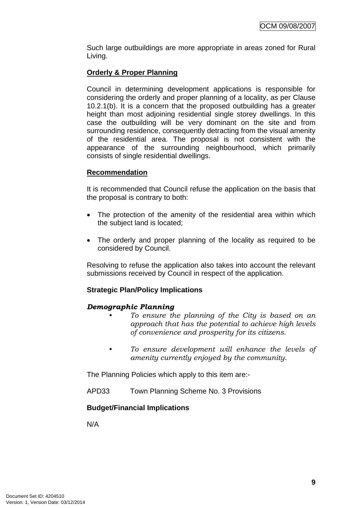Such large outbuildings are more appropriate in areas zoned for Rural Living.

## **Orderly & Proper Planning**

Council in determining development applications is responsible for considering the orderly and proper planning of a locality, as per Clause 10.2.1(b). It is a concern that the proposed outbuilding has a greater height than most adjoining residential single storey dwellings. In this case the outbuilding will be very dominant on the site and from surrounding residence, consequently detracting from the visual amenity of the residential area. The proposal is not consistent with the appearance of the surrounding neighbourhood, which primarily consists of single residential dwellings.

## **Recommendation**

It is recommended that Council refuse the application on the basis that the proposal is contrary to both:

- The protection of the amenity of the residential area within which the subject land is located;
- The orderly and proper planning of the locality as required to be considered by Council.

Resolving to refuse the application also takes into account the relevant submissions received by Council in respect of the application.

## **Strategic Plan/Policy Implications**

#### *Demographic Planning*

- *To ensure the planning of the City is based on an approach that has the potential to achieve high levels of convenience and prosperity for its citizens.*
- *To ensure development will enhance the levels of amenity currently enjoyed by the community.*

The Planning Policies which apply to this item are:-

APD33 Town Planning Scheme No. 3 Provisions

#### **Budget/Financial Implications**

N/A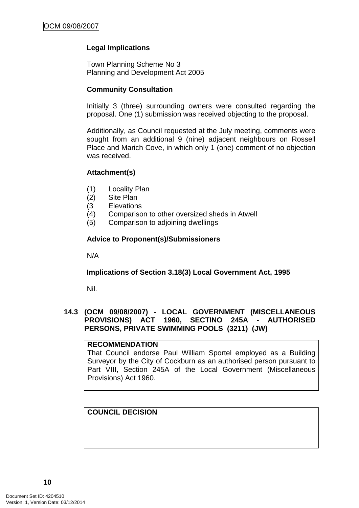## <span id="page-13-0"></span>**Legal Implications**

Town Planning Scheme No 3 Planning and Development Act 2005

#### **Community Consultation**

Initially 3 (three) surrounding owners were consulted regarding the proposal. One (1) submission was received objecting to the proposal.

Additionally, as Council requested at the July meeting, comments were sought from an additional 9 (nine) adjacent neighbours on Rossell Place and Marich Cove, in which only 1 (one) comment of no objection was received.

#### **Attachment(s)**

- (1) Locality Plan
- (2) Site Plan
- (3 Elevations
- (4) Comparison to other oversized sheds in Atwell
- (5) Comparison to adjoining dwellings

## **Advice to Proponent(s)/Submissioners**

N/A

## **Implications of Section 3.18(3) Local Government Act, 1995**

Nil.

#### **14.3 (OCM 09/08/2007) - LOCAL GOVERNMENT (MISCELLANEOUS PROVISIONS) ACT 1960, SECTINO 245A - AUTHORISED PERSONS, PRIVATE SWIMMING POOLS (3211) (JW)**

#### **RECOMMENDATION**

That Council endorse Paul William Sportel employed as a Building Surveyor by the City of Cockburn as an authorised person pursuant to Part VIII, Section 245A of the Local Government (Miscellaneous Provisions) Act 1960.

#### **COUNCIL DECISION**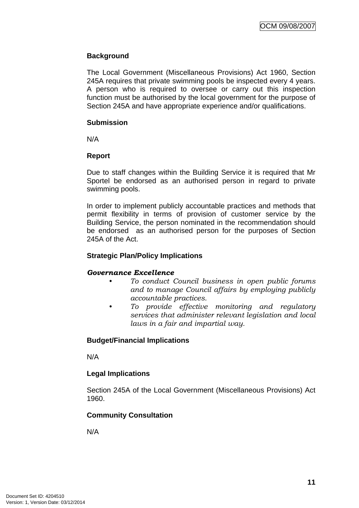## **Background**

The Local Government (Miscellaneous Provisions) Act 1960, Section 245A requires that private swimming pools be inspected every 4 years. A person who is required to oversee or carry out this inspection function must be authorised by the local government for the purpose of Section 245A and have appropriate experience and/or qualifications.

#### **Submission**

N/A

## **Report**

Due to staff changes within the Building Service it is required that Mr Sportel be endorsed as an authorised person in regard to private swimming pools.

In order to implement publicly accountable practices and methods that permit flexibility in terms of provision of customer service by the Building Service, the person nominated in the recommendation should be endorsed as an authorised person for the purposes of Section 245A of the Act.

## **Strategic Plan/Policy Implications**

#### *Governance Excellence*

- *To conduct Council business in open public forums and to manage Council affairs by employing publicly accountable practices.*
- *To provide effective monitoring and regulatory services that administer relevant legislation and local laws in a fair and impartial way.*

## **Budget/Financial Implications**

N/A

## **Legal Implications**

Section 245A of the Local Government (Miscellaneous Provisions) Act 1960.

#### **Community Consultation**

N/A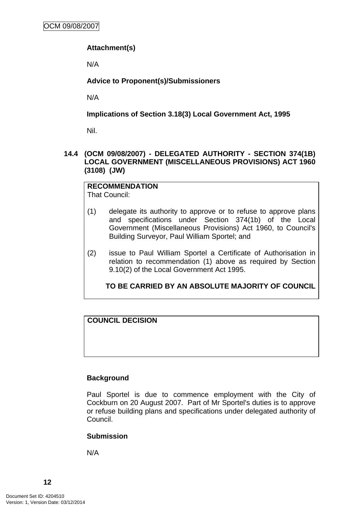## <span id="page-15-0"></span>**Attachment(s)**

N/A

**Advice to Proponent(s)/Submissioners** 

N/A

**Implications of Section 3.18(3) Local Government Act, 1995**

Nil.

#### **14.4 (OCM 09/08/2007) - DELEGATED AUTHORITY - SECTION 374(1B) LOCAL GOVERNMENT (MISCELLANEOUS PROVISIONS) ACT 1960 (3108) (JW)**

**RECOMMENDATION** That Council:

- (1) delegate its authority to approve or to refuse to approve plans and specifications under Section 374(1b) of the Local Government (Miscellaneous Provisions) Act 1960, to Council's Building Surveyor, Paul William Sportel; and
- (2) issue to Paul William Sportel a Certificate of Authorisation in relation to recommendation (1) above as required by Section 9.10(2) of the Local Government Act 1995.

**TO BE CARRIED BY AN ABSOLUTE MAJORITY OF COUNCIL**

## **COUNCIL DECISION**

#### **Background**

Paul Sportel is due to commence employment with the City of Cockburn on 20 August 2007. Part of Mr Sportel's duties is to approve or refuse building plans and specifications under delegated authority of Council.

#### **Submission**

N/A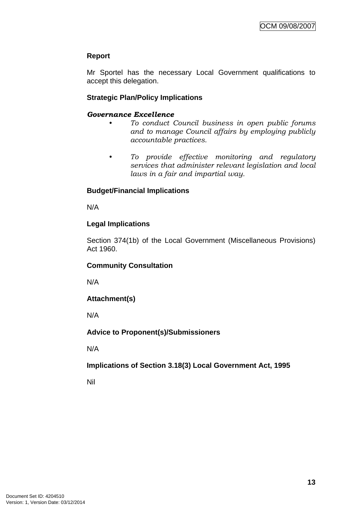## **Report**

Mr Sportel has the necessary Local Government qualifications to accept this delegation.

## **Strategic Plan/Policy Implications**

#### *Governance Excellence*

- *To conduct Council business in open public forums and to manage Council affairs by employing publicly accountable practices.*
- *To provide effective monitoring and regulatory services that administer relevant legislation and local laws in a fair and impartial way.*

## **Budget/Financial Implications**

N/A

## **Legal Implications**

Section 374(1b) of the Local Government (Miscellaneous Provisions) Act 1960.

#### **Community Consultation**

N/A

## **Attachment(s)**

N/A

## **Advice to Proponent(s)/Submissioners**

N/A

## **Implications of Section 3.18(3) Local Government Act, 1995**

Nil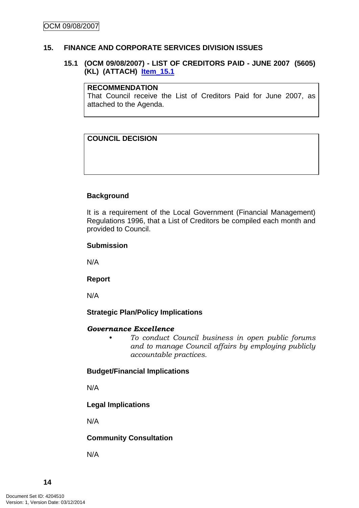#### <span id="page-17-0"></span>**15. FINANCE AND CORPORATE SERVICES DIVISION ISSUES**

#### **15.1 (OCM 09/08/2007) - LIST OF CREDITORS PAID - JUNE 2007 (5605) (KL) (ATTACH) Item\_15.1**

#### **RECOMMENDATION**

That Council receive the List of Creditors Paid for June 2007, as attached to the Agenda.

## **COUNCIL DECISION**

#### **Background**

It is a requirement of the Local Government (Financial Management) Regulations 1996, that a List of Creditors be compiled each month and provided to Council.

#### **Submission**

N/A

**Report**

N/A

**Strategic Plan/Policy Implications**

#### *Governance Excellence*

*• To conduct Council business in open public forums and to manage Council affairs by employing publicly accountable practices.* 

#### **Budget/Financial Implications**

N/A

#### **Legal Implications**

N/A

#### **Community Consultation**

N/A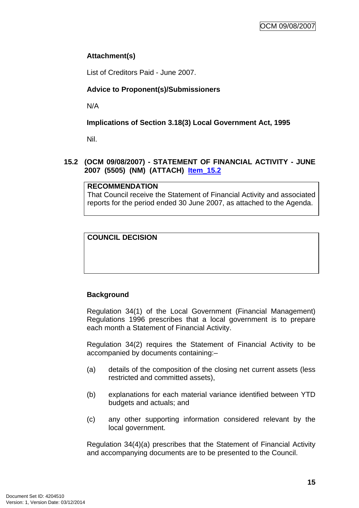## <span id="page-18-0"></span>**Attachment(s)**

List of Creditors Paid - June 2007.

## **Advice to Proponent(s)/Submissioners**

N/A

**Implications of Section 3.18(3) Local Government Act, 1995**

Nil.

#### **15.2 (OCM 09/08/2007) - STATEMENT OF FINANCIAL ACTIVITY - JUNE 2007 (5505) (NM) (ATTACH) Item\_15.2**

## **RECOMMENDATION**

That Council receive the Statement of Financial Activity and associated reports for the period ended 30 June 2007, as attached to the Agenda.

## **COUNCIL DECISION**

## **Background**

Regulation 34(1) of the Local Government (Financial Management) Regulations 1996 prescribes that a local government is to prepare each month a Statement of Financial Activity.

Regulation 34(2) requires the Statement of Financial Activity to be accompanied by documents containing:–

- (a) details of the composition of the closing net current assets (less restricted and committed assets),
- (b) explanations for each material variance identified between YTD budgets and actuals; and
- (c) any other supporting information considered relevant by the local government.

Regulation 34(4)(a) prescribes that the Statement of Financial Activity and accompanying documents are to be presented to the Council.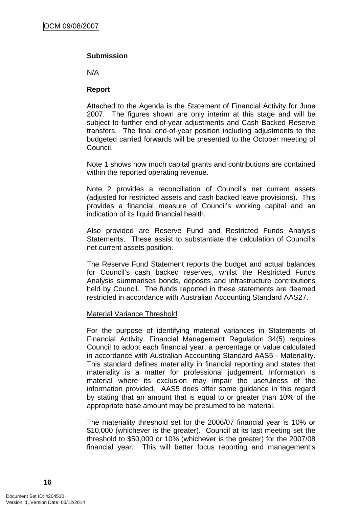#### **Submission**

N/A

#### **Report**

Attached to the Agenda is the Statement of Financial Activity for June 2007. The figures shown are only interim at this stage and will be subject to further end-of-year adjustments and Cash Backed Reserve transfers. The final end-of-year position including adjustments to the budgeted carried forwards will be presented to the October meeting of Council.

Note 1 shows how much capital grants and contributions are contained within the reported operating revenue.

Note 2 provides a reconciliation of Council's net current assets (adjusted for restricted assets and cash backed leave provisions). This provides a financial measure of Council's working capital and an indication of its liquid financial health.

Also provided are Reserve Fund and Restricted Funds Analysis Statements. These assist to substantiate the calculation of Council's net current assets position.

The Reserve Fund Statement reports the budget and actual balances for Council's cash backed reserves, whilst the Restricted Funds Analysis summarises bonds, deposits and infrastructure contributions held by Council. The funds reported in these statements are deemed restricted in accordance with Australian Accounting Standard AAS27.

#### Material Variance Threshold

For the purpose of identifying material variances in Statements of Financial Activity, Financial Management Regulation 34(5) requires Council to adopt each financial year, a percentage or value calculated in accordance with Australian Accounting Standard AAS5 - Materiality. This standard defines materiality in financial reporting and states that materiality is a matter for professional judgement. Information is material where its exclusion may impair the usefulness of the information provided. AAS5 does offer some guidance in this regard by stating that an amount that is equal to or greater than 10% of the appropriate base amount may be presumed to be material.

The materiality threshold set for the 2006/07 financial year is 10% or \$10,000 (whichever is the greater). Council at its last meeting set the threshold to \$50,000 or 10% (whichever is the greater) for the 2007/08 financial year. This will better focus reporting and management's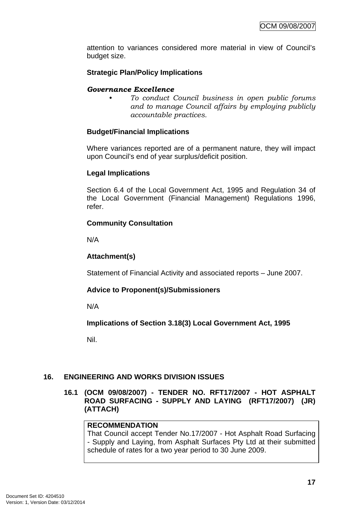<span id="page-20-0"></span>attention to variances considered more material in view of Council's budget size.

## **Strategic Plan/Policy Implications**

#### *Governance Excellence*

*• To conduct Council business in open public forums and to manage Council affairs by employing publicly accountable practices.* 

#### **Budget/Financial Implications**

Where variances reported are of a permanent nature, they will impact upon Council's end of year surplus/deficit position.

#### **Legal Implications**

Section 6.4 of the Local Government Act, 1995 and Regulation 34 of the Local Government (Financial Management) Regulations 1996, refer.

#### **Community Consultation**

N/A

#### **Attachment(s)**

Statement of Financial Activity and associated reports – June 2007.

#### **Advice to Proponent(s)/Submissioners**

N/A

**Implications of Section 3.18(3) Local Government Act, 1995**

Nil.

#### **16. ENGINEERING AND WORKS DIVISION ISSUES**

#### **16.1 (OCM 09/08/2007) - TENDER NO. RFT17/2007 - HOT ASPHALT ROAD SURFACING - SUPPLY AND LAYING (RFT17/2007) (JR) (ATTACH)**

#### **RECOMMENDATION**

That Council accept Tender No.17/2007 - Hot Asphalt Road Surfacing - Supply and Laying, from Asphalt Surfaces Pty Ltd at their submitted schedule of rates for a two year period to 30 June 2009.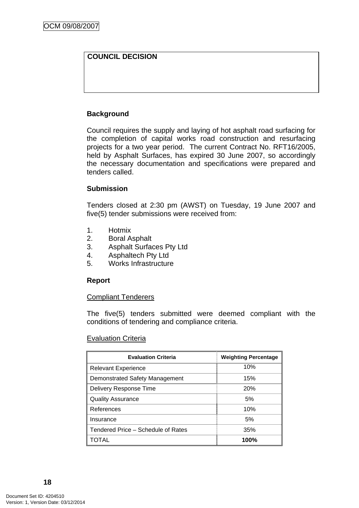## **COUNCIL DECISION**

## **Background**

Council requires the supply and laying of hot asphalt road surfacing for the completion of capital works road construction and resurfacing projects for a two year period. The current Contract No. RFT16/2005, held by Asphalt Surfaces, has expired 30 June 2007, so accordingly the necessary documentation and specifications were prepared and tenders called.

## **Submission**

Tenders closed at 2:30 pm (AWST) on Tuesday, 19 June 2007 and five(5) tender submissions were received from:

- 1. Hotmix
- 2. Boral Asphalt
- 3. Asphalt Surfaces Pty Ltd
- 4. Asphaltech Pty Ltd
- 5. Works Infrastructure

#### **Report**

#### Compliant Tenderers

The five(5) tenders submitted were deemed compliant with the conditions of tendering and compliance criteria.

#### Evaluation Criteria

| <b>Evaluation Criteria</b>         | <b>Weighting Percentage</b> |
|------------------------------------|-----------------------------|
| <b>Relevant Experience</b>         | 10%                         |
| Demonstrated Safety Management     | 15%                         |
| Delivery Response Time             | 20%                         |
| <b>Quality Assurance</b>           | 5%                          |
| References                         | 10%                         |
| Insurance                          | 5%                          |
| Tendered Price - Schedule of Rates | 35%                         |
| TOTAL                              | 100%                        |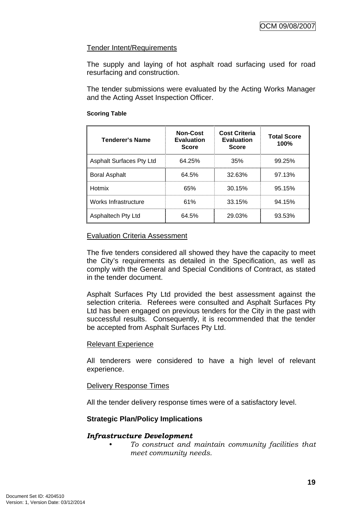## Tender Intent/Requirements

The supply and laying of hot asphalt road surfacing used for road resurfacing and construction.

The tender submissions were evaluated by the Acting Works Manager and the Acting Asset Inspection Officer.

#### **Scoring Table**

| <b>Tenderer's Name</b>   | <b>Non-Cost</b><br><b>Evaluation</b><br><b>Score</b> | <b>Cost Criteria</b><br><b>Evaluation</b><br><b>Score</b> | <b>Total Score</b><br>100% |
|--------------------------|------------------------------------------------------|-----------------------------------------------------------|----------------------------|
| Asphalt Surfaces Pty Ltd | 64.25%                                               | 35%                                                       | 99.25%                     |
| <b>Boral Asphalt</b>     | 64.5%                                                | 32.63%                                                    | 97.13%                     |
| Hotmix                   | 65%                                                  | 30.15%                                                    | 95.15%                     |
| Works Infrastructure     | 61%                                                  | 33.15%                                                    | 94.15%                     |
| Asphaltech Pty Ltd       | 64.5%                                                | 29.03%                                                    | 93.53%                     |

#### Evaluation Criteria Assessment

The five tenders considered all showed they have the capacity to meet the City's requirements as detailed in the Specification, as well as comply with the General and Special Conditions of Contract, as stated in the tender document.

Asphalt Surfaces Pty Ltd provided the best assessment against the selection criteria. Referees were consulted and Asphalt Surfaces Pty Ltd has been engaged on previous tenders for the City in the past with successful results. Consequently, it is recommended that the tender be accepted from Asphalt Surfaces Pty Ltd.

#### Relevant Experience

All tenderers were considered to have a high level of relevant experience.

#### Delivery Response Times

All the tender delivery response times were of a satisfactory level.

#### **Strategic Plan/Policy Implications**

#### *Infrastructure Development*

*• To construct and maintain community facilities that meet community needs.*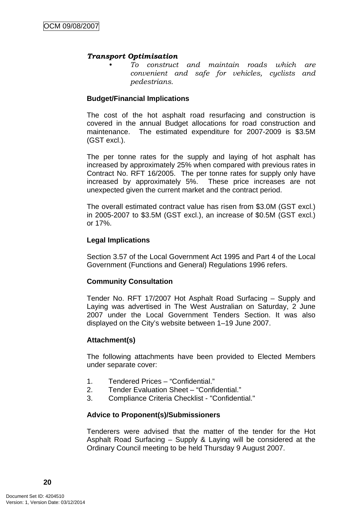#### *Transport Optimisation*

*• To construct and maintain roads which are convenient and safe for vehicles, cyclists and pedestrians.* 

#### **Budget/Financial Implications**

The cost of the hot asphalt road resurfacing and construction is covered in the annual Budget allocations for road construction and maintenance. The estimated expenditure for 2007-2009 is \$3.5M (GST excl.).

The per tonne rates for the supply and laying of hot asphalt has increased by approximately 25% when compared with previous rates in Contract No. RFT 16/2005. The per tonne rates for supply only have increased by approximately 5%. These price increases are not unexpected given the current market and the contract period.

The overall estimated contract value has risen from \$3.0M (GST excl.) in 2005-2007 to \$3.5M (GST excl.), an increase of \$0.5M (GST excl.) or 17%.

#### **Legal Implications**

Section 3.57 of the Local Government Act 1995 and Part 4 of the Local Government (Functions and General) Regulations 1996 refers.

#### **Community Consultation**

Tender No. RFT 17/2007 Hot Asphalt Road Surfacing – Supply and Laying was advertised in The West Australian on Saturday, 2 June 2007 under the Local Government Tenders Section. It was also displayed on the City's website between 1–19 June 2007.

#### **Attachment(s)**

The following attachments have been provided to Elected Members under separate cover:

- 1. Tendered Prices "Confidential."
- 2. Tender Evaluation Sheet "Confidential."
- 3. Compliance Criteria Checklist "Confidential."

#### **Advice to Proponent(s)/Submissioners**

Tenderers were advised that the matter of the tender for the Hot Asphalt Road Surfacing – Supply & Laying will be considered at the Ordinary Council meeting to be held Thursday 9 August 2007.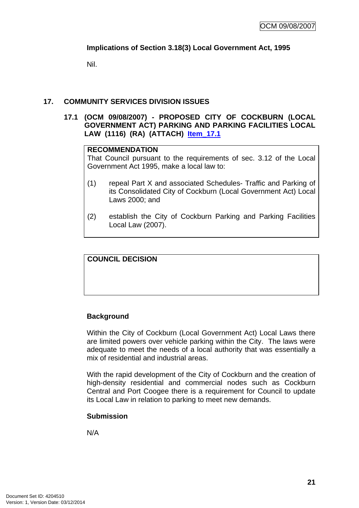## <span id="page-24-0"></span>**Implications of Section 3.18(3) Local Government Act, 1995**

Nil.

## **17. COMMUNITY SERVICES DIVISION ISSUES**

#### **17.1 (OCM 09/08/2007) - PROPOSED CITY OF COCKBURN (LOCAL GOVERNMENT ACT) PARKING AND PARKING FACILITIES LOCAL LAW (1116) (RA) (ATTACH) Item\_17.1**

#### **RECOMMENDATION**

That Council pursuant to the requirements of sec. 3.12 of the Local Government Act 1995, make a local law to:

- (1) repeal Part X and associated Schedules- Traffic and Parking of its Consolidated City of Cockburn (Local Government Act) Local Laws 2000; and
- (2) establish the City of Cockburn Parking and Parking Facilities Local Law (2007).

**COUNCIL DECISION**

#### **Background**

Within the City of Cockburn (Local Government Act) Local Laws there are limited powers over vehicle parking within the City. The laws were adequate to meet the needs of a local authority that was essentially a mix of residential and industrial areas.

With the rapid development of the City of Cockburn and the creation of high-density residential and commercial nodes such as Cockburn Central and Port Coogee there is a requirement for Council to update its Local Law in relation to parking to meet new demands.

#### **Submission**

N/A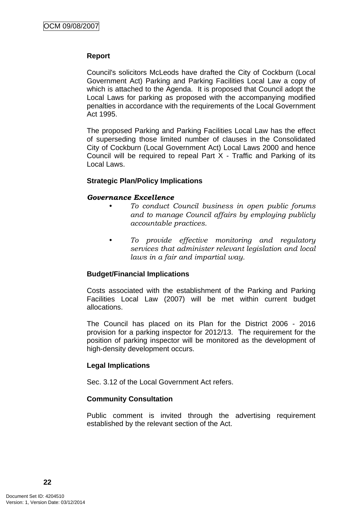#### **Report**

Council's solicitors McLeods have drafted the City of Cockburn (Local Government Act) Parking and Parking Facilities Local Law a copy of which is attached to the Agenda. It is proposed that Council adopt the Local Laws for parking as proposed with the accompanying modified penalties in accordance with the requirements of the Local Government Act 1995.

The proposed Parking and Parking Facilities Local Law has the effect of superseding those limited number of clauses in the Consolidated City of Cockburn (Local Government Act) Local Laws 2000 and hence Council will be required to repeal Part X - Traffic and Parking of its Local Laws.

#### **Strategic Plan/Policy Implications**

#### *Governance Excellence*

- *To conduct Council business in open public forums and to manage Council affairs by employing publicly accountable practices.*
- *To provide effective monitoring and regulatory services that administer relevant legislation and local laws in a fair and impartial way.*

#### **Budget/Financial Implications**

Costs associated with the establishment of the Parking and Parking Facilities Local Law (2007) will be met within current budget allocations.

The Council has placed on its Plan for the District 2006 - 2016 provision for a parking inspector for 2012/13. The requirement for the position of parking inspector will be monitored as the development of high-density development occurs.

#### **Legal Implications**

Sec. 3.12 of the Local Government Act refers.

#### **Community Consultation**

Public comment is invited through the advertising requirement established by the relevant section of the Act.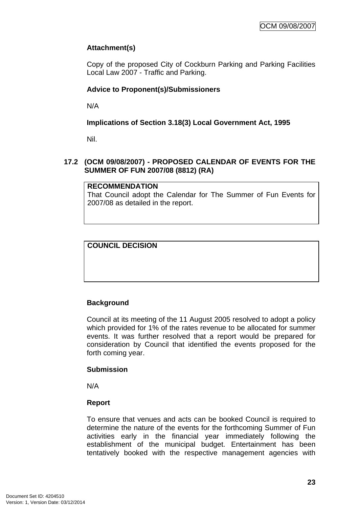## <span id="page-26-0"></span>**Attachment(s)**

Copy of the proposed City of Cockburn Parking and Parking Facilities Local Law 2007 - Traffic and Parking.

## **Advice to Proponent(s)/Submissioners**

N/A

**Implications of Section 3.18(3) Local Government Act, 1995**

Nil.

#### **17.2 (OCM 09/08/2007) - PROPOSED CALENDAR OF EVENTS FOR THE SUMMER OF FUN 2007/08 (8812) (RA)**

## **RECOMMENDATION**

That Council adopt the Calendar for The Summer of Fun Events for 2007/08 as detailed in the report.

## **COUNCIL DECISION**

## **Background**

Council at its meeting of the 11 August 2005 resolved to adopt a policy which provided for 1% of the rates revenue to be allocated for summer events. It was further resolved that a report would be prepared for consideration by Council that identified the events proposed for the forth coming year.

#### **Submission**

N/A

## **Report**

To ensure that venues and acts can be booked Council is required to determine the nature of the events for the forthcoming Summer of Fun activities early in the financial year immediately following the establishment of the municipal budget. Entertainment has been tentatively booked with the respective management agencies with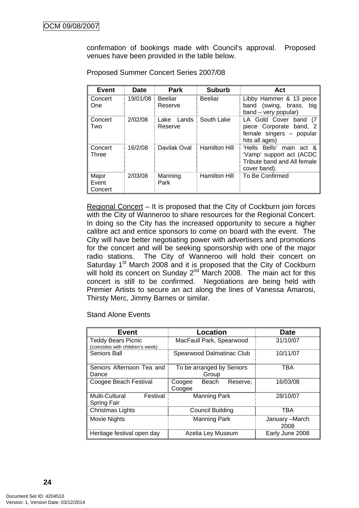confirmation of bookings made with Council's approval. Proposed venues have been provided in the table below.

| <b>Event</b>              | Date     | <b>Park</b>               | <b>Suburb</b>  | Act                                                                                                     |
|---------------------------|----------|---------------------------|----------------|---------------------------------------------------------------------------------------------------------|
| Concert<br><b>One</b>     | 19/01/08 | <b>Beeliar</b><br>Reserve | <b>Beeliar</b> | Libby Hammer & 13 piece<br>band (swing, brass,<br>big<br>$band - very popular)$                         |
| Concert<br>Two            | 2/02/08  | Lands<br>Lake<br>Reserve  | South Lake     | LA Gold Cover<br>band<br>(7<br>piece Corporate band, 2<br>female singers - popular<br>hits all ages)    |
| Concert<br>Three          | 16/2/08  | Davilak Oval              | Hamilton Hill  | 'Hells Bells'<br>main act &<br>'Vamp' support act (ACDC)<br>Tribute band and All female<br>cover band). |
| Major<br>Event<br>Concert | 2/03/08  | Manning<br>Park           | Hamilton Hill  | To Be Confirmed                                                                                         |

Proposed Summer Concert Series 2007/08

Regional Concert – It is proposed that the City of Cockburn join forces with the City of Wanneroo to share resources for the Regional Concert. In doing so the City has the increased opportunity to secure a higher calibre act and entice sponsors to come on board with the event. The City will have better negotiating power with advertisers and promotions for the concert and will be seeking sponsorship with one of the major radio stations. The City of Wanneroo will hold their concert on Saturday 1<sup>st</sup> March 2008 and it is proposed that the City of Cockburn will hold its concert on Sunday 2<sup>nd</sup> March 2008. The main act for this concert is still to be confirmed. Negotiations are being held with Premier Artists to secure an act along the lines of Vanessa Amarosi, Thirsty Merc, Jimmy Barnes or similar.

Stand Alone Events

| Event                                                         | <b>Location</b>                       | <b>Date</b>            |  |
|---------------------------------------------------------------|---------------------------------------|------------------------|--|
| <b>Teddy Bears Picnic</b><br>(coincides with children's week) | MacFaull Park, Spearwood              | 31/10/07               |  |
| Seniors Ball                                                  | Spearwood Dalmatinac Club             | 10/11/07               |  |
| Seniors Afternoon Tea and<br>Dance                            | To be arranged by Seniors<br>Group    | TBA                    |  |
| Coogee Beach Festival                                         | Beach<br>Reserve.<br>Coogee<br>Coogee | 16/03/08               |  |
| Multi-Cultural<br>Festival<br><b>Spring Fair</b>              | <b>Manning Park</b>                   | 28/10/07               |  |
| Christmas Lights                                              | Council Building                      | TBA                    |  |
| Movie Nights                                                  | <b>Manning Park</b>                   | January -March<br>2008 |  |
| Heritage festival open day                                    | Azelia Ley Museum                     | Early June 2008        |  |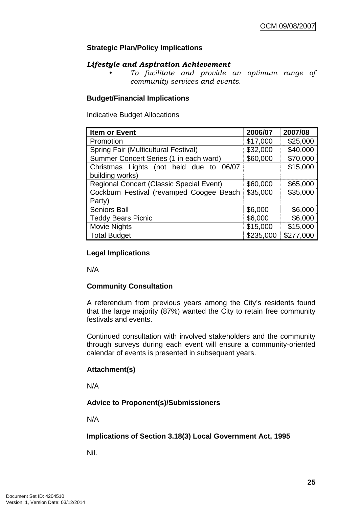## **Strategic Plan/Policy Implications**

#### *Lifestyle and Aspiration Achievement*

*• To facilitate and provide an optimum range of community services and events.* 

#### **Budget/Financial Implications**

Indicative Budget Allocations

| <b>Item or Event</b>                            | 2006/07   | 2007/08   |
|-------------------------------------------------|-----------|-----------|
| Promotion                                       | \$17,000  | \$25,000  |
| Spring Fair (Multicultural Festival)            | \$32,000  | \$40,000  |
| Summer Concert Series (1 in each ward)          | \$60,000  | \$70,000  |
| Christmas Lights (not held due to<br>06/07      |           | \$15,000  |
| building works)                                 |           |           |
| <b>Regional Concert (Classic Special Event)</b> | \$60,000  | \$65,000  |
| Cockburn Festival (revamped Coogee Beach        | \$35,000  | \$35,000  |
| Party)                                          |           |           |
| <b>Seniors Ball</b>                             | \$6,000   | \$6,000   |
| <b>Teddy Bears Picnic</b>                       | \$6,000   | \$6,000   |
| <b>Movie Nights</b>                             | \$15,000  | \$15,000  |
| <b>Total Budget</b>                             | \$235,000 | \$277,000 |

## **Legal Implications**

N/A

#### **Community Consultation**

A referendum from previous years among the City's residents found that the large majority (87%) wanted the City to retain free community festivals and events.

Continued consultation with involved stakeholders and the community through surveys during each event will ensure a community-oriented calendar of events is presented in subsequent years.

#### **Attachment(s)**

N/A

## **Advice to Proponent(s)/Submissioners**

N/A

#### **Implications of Section 3.18(3) Local Government Act, 1995**

Nil.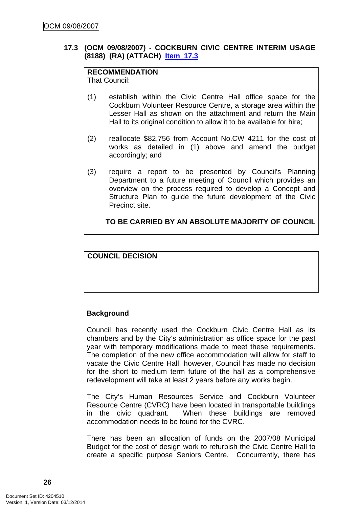## <span id="page-29-0"></span>**17.3 (OCM 09/08/2007) - COCKBURN CIVIC CENTRE INTERIM USAGE (8188) (RA) (ATTACH) Item\_17.3**

## **RECOMMENDATION**

That Council:

- (1) establish within the Civic Centre Hall office space for the Cockburn Volunteer Resource Centre, a storage area within the Lesser Hall as shown on the attachment and return the Main Hall to its original condition to allow it to be available for hire;
- (2) reallocate \$82,756 from Account No.CW 4211 for the cost of works as detailed in (1) above and amend the budget accordingly; and
- (3) require a report to be presented by Council's Planning Department to a future meeting of Council which provides an overview on the process required to develop a Concept and Structure Plan to guide the future development of the Civic Precinct site.

**TO BE CARRIED BY AN ABSOLUTE MAJORITY OF COUNCIL**

## **COUNCIL DECISION**

#### **Background**

Council has recently used the Cockburn Civic Centre Hall as its chambers and by the City's administration as office space for the past year with temporary modifications made to meet these requirements. The completion of the new office accommodation will allow for staff to vacate the Civic Centre Hall, however, Council has made no decision for the short to medium term future of the hall as a comprehensive redevelopment will take at least 2 years before any works begin.

The City's Human Resources Service and Cockburn Volunteer Resource Centre (CVRC) have been located in transportable buildings in the civic quadrant. When these buildings are removed accommodation needs to be found for the CVRC.

There has been an allocation of funds on the 2007/08 Municipal Budget for the cost of design work to refurbish the Civic Centre Hall to create a specific purpose Seniors Centre. Concurrently, there has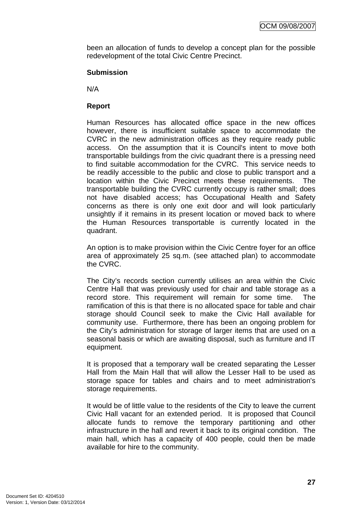been an allocation of funds to develop a concept plan for the possible redevelopment of the total Civic Centre Precinct.

#### **Submission**

N/A

## **Report**

Human Resources has allocated office space in the new offices however, there is insufficient suitable space to accommodate the CVRC in the new administration offices as they require ready public access. On the assumption that it is Council's intent to move both transportable buildings from the civic quadrant there is a pressing need to find suitable accommodation for the CVRC. This service needs to be readily accessible to the public and close to public transport and a location within the Civic Precinct meets these requirements. The transportable building the CVRC currently occupy is rather small; does not have disabled access; has Occupational Health and Safety concerns as there is only one exit door and will look particularly unsightly if it remains in its present location or moved back to where the Human Resources transportable is currently located in the quadrant.

An option is to make provision within the Civic Centre foyer for an office area of approximately 25 sq.m. (see attached plan) to accommodate the CVRC.

The City's records section currently utilises an area within the Civic Centre Hall that was previously used for chair and table storage as a record store. This requirement will remain for some time. The ramification of this is that there is no allocated space for table and chair storage should Council seek to make the Civic Hall available for community use. Furthermore, there has been an ongoing problem for the City's administration for storage of larger items that are used on a seasonal basis or which are awaiting disposal, such as furniture and IT equipment.

It is proposed that a temporary wall be created separating the Lesser Hall from the Main Hall that will allow the Lesser Hall to be used as storage space for tables and chairs and to meet administration's storage requirements.

It would be of little value to the residents of the City to leave the current Civic Hall vacant for an extended period. It is proposed that Council allocate funds to remove the temporary partitioning and other infrastructure in the hall and revert it back to its original condition. The main hall, which has a capacity of 400 people, could then be made available for hire to the community.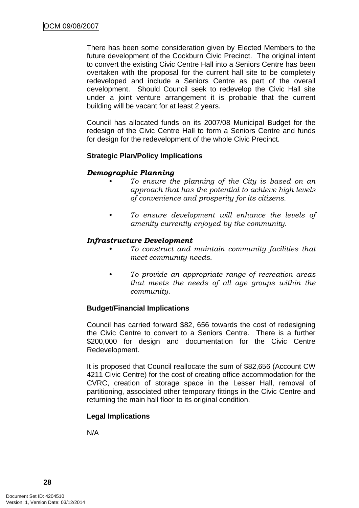There has been some consideration given by Elected Members to the future development of the Cockburn Civic Precinct. The original intent to convert the existing Civic Centre Hall into a Seniors Centre has been overtaken with the proposal for the current hall site to be completely redeveloped and include a Seniors Centre as part of the overall development. Should Council seek to redevelop the Civic Hall site under a joint venture arrangement it is probable that the current building will be vacant for at least 2 years.

Council has allocated funds on its 2007/08 Municipal Budget for the redesign of the Civic Centre Hall to form a Seniors Centre and funds for design for the redevelopment of the whole Civic Precinct.

#### **Strategic Plan/Policy Implications**

#### *Demographic Planning*

- *To ensure the planning of the City is based on an approach that has the potential to achieve high levels of convenience and prosperity for its citizens.*
- *To ensure development will enhance the levels of amenity currently enjoyed by the community.*

#### *Infrastructure Development*

- *To construct and maintain community facilities that meet community needs.*
- *To provide an appropriate range of recreation areas that meets the needs of all age groups within the community.*

#### **Budget/Financial Implications**

Council has carried forward \$82, 656 towards the cost of redesigning the Civic Centre to convert to a Seniors Centre. There is a further \$200,000 for design and documentation for the Civic Centre Redevelopment.

It is proposed that Council reallocate the sum of \$82,656 (Account CW 4211 Civic Centre) for the cost of creating office accommodation for the CVRC, creation of storage space in the Lesser Hall, removal of partitioning, associated other temporary fittings in the Civic Centre and returning the main hall floor to its original condition.

#### **Legal Implications**

N/A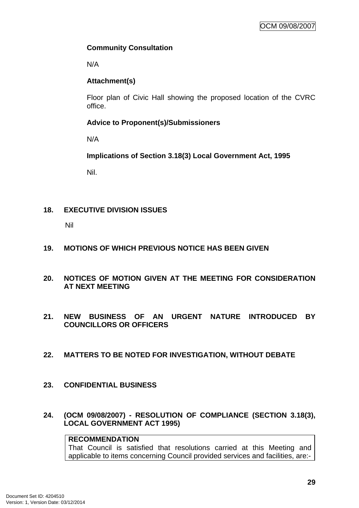## <span id="page-32-0"></span>**Community Consultation**

N/A

## **Attachment(s)**

Floor plan of Civic Hall showing the proposed location of the CVRC office.

## **Advice to Proponent(s)/Submissioners**

N/A

**Implications of Section 3.18(3) Local Government Act, 1995**

Nil.

## **18. EXECUTIVE DIVISION ISSUES**

Nil

## **19. MOTIONS OF WHICH PREVIOUS NOTICE HAS BEEN GIVEN**

- **20. NOTICES OF MOTION GIVEN AT THE MEETING FOR CONSIDERATION AT NEXT MEETING**
- **21. NEW BUSINESS OF AN URGENT NATURE INTRODUCED BY COUNCILLORS OR OFFICERS**
- **22. MATTERS TO BE NOTED FOR INVESTIGATION, WITHOUT DEBATE**
- **23. CONFIDENTIAL BUSINESS**

## **24. (OCM 09/08/2007) - RESOLUTION OF COMPLIANCE (SECTION 3.18(3), LOCAL GOVERNMENT ACT 1995)**

## **RECOMMENDATION**

That Council is satisfied that resolutions carried at this Meeting and applicable to items concerning Council provided services and facilities, are:-